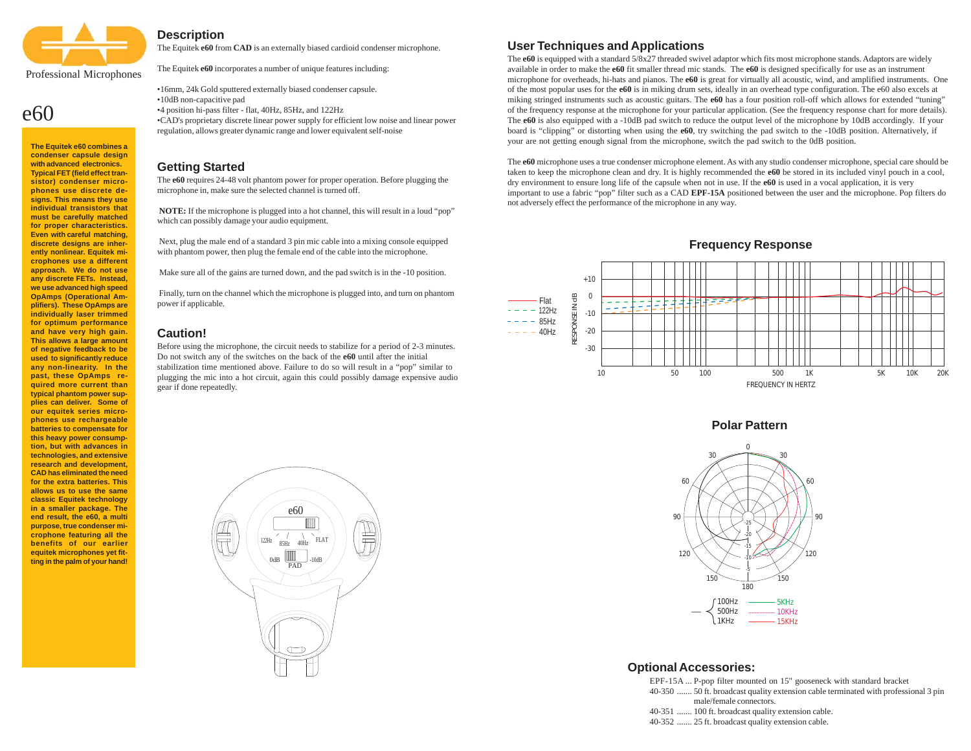

# $e60$

**The Equitek e60 combines a condenser capsule design with advanced electronics. Typical FET (field effect transistor) condenser microphones use discrete designs. This means they use individual transistors that must be carefully matched for proper characteristics. Even with careful matching, discrete designs are inherently nonlinear. Equitek microphones use a different approach. We do not use any discrete FETs. Instead, we use advanced high speed OpAmps (Operational Amplifiers). These OpAmps are individually laser trimmed for optimum performance and have very high gain. This allows a large amount of negative feedback to be used to significantly reduce any non-linearity. In the past, these OpAmps required more current than typical phantom power supplies can deliver. Some of our equitek series microphones use rechargeable batteries to compensate for this heavy power consumption, but with advances in technologies, and extensive research and development, CAD has eliminated the need for the extra batteries. This allows us to use the same classic Equitek technology in a smaller package. The end result, the e60, a multi purpose, true condenser microphone featuring all the benefits of our earlier equitek microphones yet fitting in the palm of your hand!**

## **Description**

The Equitek **e60** from **CAD** is an externally biased cardioid condenser microphone.

The Equitek **e60** incorporates a number of unique features including:

•16mm, 24k Gold sputtered externally biased condenser capsule. •10dB non-capacitive pad •4 position hi-pass filter - flat, 40Hz, 85Hz, and 122Hz •CAD's proprietary discrete linear power supply for efficient low noise and linear power

regulation, allows greater dynamic range and lower equivalent self-noise

#### **Getting Started**

The **e60** requires 24-48 volt phantom power for proper operation. Before plugging the microphone in, make sure the selected channel is turned off.

**NOTE:** If the microphone is plugged into a hot channel, this will result in a loud "pop" which can possibly damage your audio equipment.

 Next, plug the male end of a standard 3 pin mic cable into a mixing console equipped with phantom power, then plug the female end of the cable into the microphone.

Make sure all of the gains are turned down, and the pad switch is in the -10 position.

 Finally, turn on the channel which the microphone is plugged into, and turn on phantom power if applicable.

#### **Caution!**

Before using the microphone, the circuit needs to stabilize for a period of 2-3 minutes. Do not switch any of the switches on the back of the **e60** until after the initial stabilization time mentioned above. Failure to do so will result in a "pop" similar to plugging the mic into a hot circuit, again this could possibly damage expensive audio gear if done repeatedly.



## **User Techniques and Applications**

The **e60** is equipped with a standard 5/8x27 threaded swivel adaptor which fits most microphone stands. Adaptors are widely available in order to make the **e60** fit smaller thread mic stands. The **e60** is designed specifically for use as an instrument microphone for overheads, hi-hats and pianos. The **e60** is great for virtually all acoustic, wind, and amplified instruments. One of the most popular uses for the **e60** is in miking drum sets, ideally in an overhead type configuration. The e60 also excels at miking stringed instruments such as acoustic guitars. The **e60** has a four position roll-off which allows for extended "tuning" of the frequency response at the microphone for your particular application. (See the frequency response chart for more details). The **e60** is also equipped with a -10dB pad switch to reduce the output level of the microphone by 10dB accordingly. If your board is "clipping" or distorting when using the **e60**, try switching the pad switch to the -10dB position. Alternatively, if your are not getting enough signal from the microphone, switch the pad switch to the 0dB position.

The **e60** microphone uses a true condenser microphone element. As with any studio condenser microphone, special care should be taken to keep the microphone clean and dry. It is highly recommended the **e60** be stored in its included vinyl pouch in a cool, dry environment to ensure long life of the capsule when not in use. If the **e60** is used in a vocal application, it is very important to use a fabric "pop" filter such as a CAD **EPF-15A** positioned between the user and the microphone. Pop filters do not adversely effect the performance of the microphone in any way.

**Frequency Response**



**Polar Pattern**



#### **Optional Accessories:**

EPF-15A ... P-pop filter mounted on 15" gooseneck with standard bracket

- 40-350 ....... 50 ft. broadcast quality extension cable terminated with professional 3 pin male/female connectors.
- 40-351 ....... 100 ft. broadcast quality extension cable.
- 40-352 ....... 25 ft. broadcast quality extension cable.